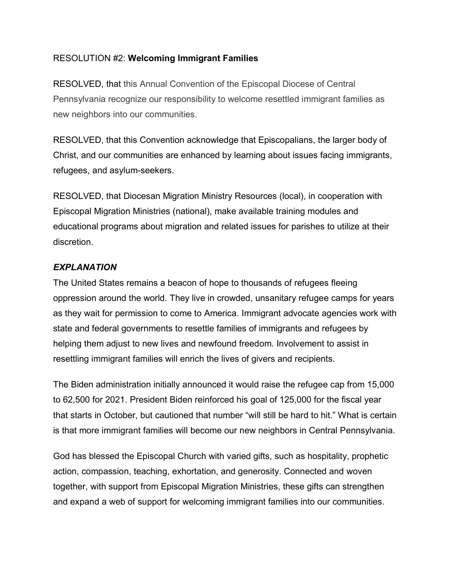## RESOLUTION #2: **Welcoming Immigrant Families**

RESOLVED, that this Annual Convention of the Episcopal Diocese of Central Pennsylvania recognize our responsibility to welcome resettled immigrant families as new neighbors into our communities.

RESOLVED, that this Convention acknowledge that Episcopalians, the larger body of Christ, and our communities are enhanced by learning about issues facing immigrants, refugees, and asylum-seekers.

RESOLVED, that Diocesan Migration Ministry Resources (local), in cooperation with Episcopal Migration Ministries (national), make available training modules and educational programs about migration and related issues for parishes to utilize at their discretion.

## *EXPLANATION*

The United States remains a beacon of hope to thousands of refugees fleeing oppression around the world. They live in crowded, unsanitary refugee camps for years as they wait for permission to come to America. Immigrant advocate agencies work with state and federal governments to resettle families of immigrants and refugees by helping them adjust to new lives and newfound freedom. Involvement to assist in resettling immigrant families will enrich the lives of givers and recipients.

The Biden administration initially announced it would raise the refugee cap from 15,000 to 62,500 for 2021. President Biden reinforced his goal of 125,000 for the fiscal year that starts in October, but cautioned that number "will still be hard to hit." What is certain is that more immigrant families will become our new neighbors in Central Pennsylvania.

God has blessed the Episcopal Church with varied gifts, such as hospitality, prophetic action, compassion, teaching, exhortation, and generosity. Connected and woven together, with support from Episcopal Migration Ministries, these gifts can strengthen and expand a web of support for welcoming immigrant families into our communities.